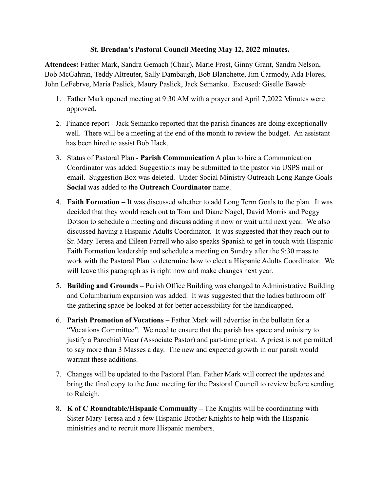## **St. Brendan's Pastoral Council Meeting May 12, 2022 minutes.**

**Attendees:** Father Mark, Sandra Gemach (Chair), Marie Frost, Ginny Grant, Sandra Nelson, Bob McGahran, Teddy Altreuter, Sally Dambaugh, Bob Blanchette, Jim Carmody, Ada Flores, John LeFebrve, Maria Paslick, Maury Paslick, Jack Semanko. Excused: Giselle Bawab

- 1. Father Mark opened meeting at 9:30 AM with a prayer and April 7,2022 Minutes were approved.
- 2. Finance report Jack Semanko reported that the parish finances are doing exceptionally well. There will be a meeting at the end of the month to review the budget. An assistant has been hired to assist Bob Hack.
- 3. Status of Pastoral Plan **Parish Communication** A plan to hire a Communication Coordinator was added. Suggestions may be submitted to the pastor via USPS mail or email. Suggestion Box was deleted. Under Social Ministry Outreach Long Range Goals **Social** was added to the **Outreach Coordinator** name.
- 4. **Faith Formation** It was discussed whether to add Long Term Goals to the plan. It was decided that they would reach out to Tom and Diane Nagel, David Morris and Peggy Dotson to schedule a meeting and discuss adding it now or wait until next year. We also discussed having a Hispanic Adults Coordinator. It was suggested that they reach out to Sr. Mary Teresa and Eileen Farrell who also speaks Spanish to get in touch with Hispanic Faith Formation leadership and schedule a meeting on Sunday after the 9:30 mass to work with the Pastoral Plan to determine how to elect a Hispanic Adults Coordinator. We will leave this paragraph as is right now and make changes next year.
- 5. **Building and Grounds –** Parish Office Building was changed to Administrative Building and Columbarium expansion was added. It was suggested that the ladies bathroom off the gathering space be looked at for better accessibility for the handicapped.
- 6. **Parish Promotion of Vocations –** Father Mark will advertise in the bulletin for a "Vocations Committee". We need to ensure that the parish has space and ministry to justify a Parochial Vicar (Associate Pastor) and part-time priest. A priest is not permitted to say more than 3 Masses a day. The new and expected growth in our parish would warrant these additions.
- 7. Changes will be updated to the Pastoral Plan. Father Mark will correct the updates and bring the final copy to the June meeting for the Pastoral Council to review before sending to Raleigh.
- 8. **K of C Roundtable/Hispanic Community –** The Knights will be coordinating with Sister Mary Teresa and a few Hispanic Brother Knights to help with the Hispanic ministries and to recruit more Hispanic members.